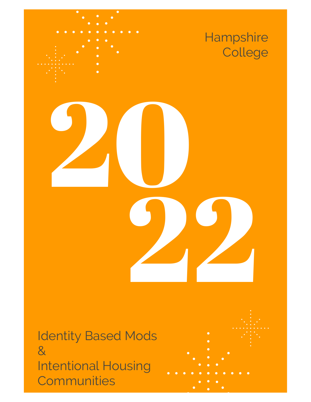

Identity Based Mods & Intentional Housing **Communities** 

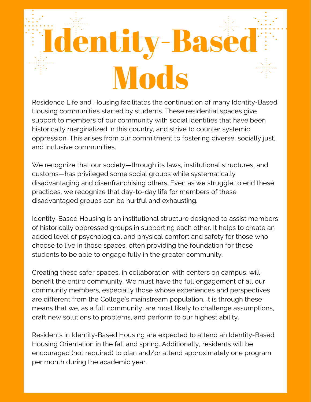# **Identity-Base** Mods

Residence Life and Housing facilitates the continuation of many Identity-Based Housing communities started by students. These residential spaces give support to members of our community with social identities that have been historically marginalized in this country, and strive to counter systemic oppression. This arises from our commitment to fostering diverse, socially just, and inclusive communities.

We recognize that our society—through its laws, institutional structures, and customs—has privileged some social groups while systematically disadvantaging and disenfranchising others. Even as we struggle to end these practices, we recognize that day-to-day life for members of these disadvantaged groups can be hurtful and exhausting.

Identity-Based Housing is an institutional structure designed to assist members of historically oppressed groups in supporting each other. It helps to create an added level of psychological and physical comfort and safety for those who choose to live in those spaces, often providing the foundation for those students to be able to engage fully in the greater community.

Creating these safer spaces, in collaboration with centers on campus, will benefit the entire community. We must have the full engagement of all our community members, especially those whose experiences and perspectives are different from the College's mainstream population. It is through these means that we, as a full community, are most likely to challenge assumptions, craft new solutions to problems, and perform to our highest ability.

Residents in Identity-Based Housing are expected to attend an Identity-Based Housing Orientation in the fall and spring. Additionally, residents will be encouraged (not required) to plan and/or attend approximately one program per month during the academic year.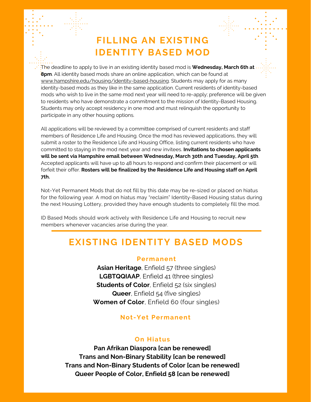# **FILLING AN EXISTING IDENTITY BASED MOD**

The deadline to apply to live in an existing identity based mod is **Wednesday, March 6th at 8pm**. All identity based mods share an online application, which can be found at [www.hampshire.edu/housing/identity-based-housing.](http://www.hampshire.edu/housing/identity-based-housing) Students may apply for as many identity-based mods as they like in the same application. Current residents of identity-based mods who wish to live in the same mod next year will need to re-apply; preference will be given to residents who have demonstrate a commitment to the mission of Identity-Based Housing. Students may only accept residency in one mod and must relinquish the opportunity to participate in any other housing options.

All applications will be reviewed by a committee comprised of current residents and staff members of Residence Life and Housing. Once the mod has reviewed applications, they will submit a roster to the Residence Life and Housing Office, listing current residents who have committed to staying in the mod next year and new invitees. **Invitations to chosen applicants will be sent via Hampshire email between Wednesday, March 30th and Tuesday, April 5th**. Accepted applicants will have up to 48 hours to respond and confirm their placement or will forfeit their offer. **Rosters will be finalized by the Residence Life and Housing staff on April 7th.**

Not-Yet Permanent Mods that do not fill by this date may be re-sized or placed on hiatus for the following year. A mod on hiatus may "reclaim" Identity-Based Housing status during the next Housing Lottery, provided they have enough students to completely fill the mod.

ID Based Mods should work actively with Residence Life and Housing to recruit new members whenever vacancies arise during the year.

## **EXISTING IDENTITY BASED MODS**

#### **Permanent**

**Asian Heritage**, Enfield 57 (three singles) **LGBTQQIAAP**, Enfield 41 (three singles) **Students of Color**, Enfield 52 (six singles) **Queer**, Enfield 54 (five singles) **Women of Color**, Enfield 60 (four singles)

### **Not -Yet Permanent**

#### **On Hiatus**

**Pan Afrikan Diaspora [can be renewed] Trans and Non-Binary Stability [can be renewed] Trans and Non-Binary Students of Color [can be renewed] Queer People of Color, Enfield 58 [can be renewed]**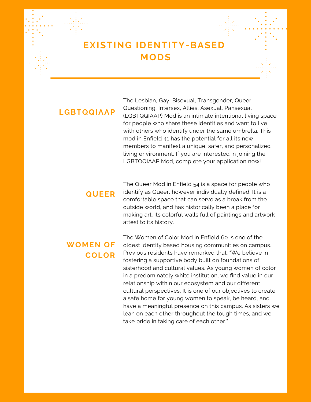# **EXISTING IDENTITY-BASED MODS**

### **LGBTQQIAAP**

The Lesbian, Gay, Bisexual, Transgender, Queer, Questioning, Intersex, Allies, Asexual, Pansexual (LGBTQQIAAP) Mod is an intimate intentional living space for people who share these identities and want to live with others who identify under the same umbrella. This mod in Enfield 41 has the potential for all its new members to manifest a unique, safer, and personalized living environment. If you are interested in joining the LGBTQQIAAP Mod, complete your application now!

### **QUEER**

The Queer Mod in Enfield 54 is a space for people who identify as Queer, however individually defined. It is a comfortable space that can serve as a break from the outside world, and has historically been a place for making art. Its colorful walls full of paintings and artwork attest to its history.

### **WOMEN OF COLOR**

The Women of Color Mod in Enfield 60 is one of the oldest identity based housing communities on campus. Previous residents have remarked that: "We believe in fostering a supportive body built on foundations of sisterhood and cultural values. As young women of color in a predominately white institution, we find value in our relationship within our ecosystem and our different cultural perspectives. It is one of our objectives to create a safe home for young women to speak, be heard, and have a meaningful presence on this campus. As sisters we lean on each other throughout the tough times, and we take pride in taking care of each other."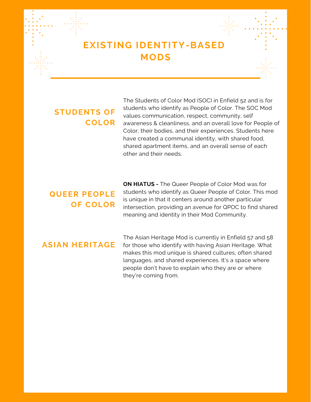# **EXISTING IDENTITY-BASED MODS**

### **STUDENTS OF COLOR**

The Students of Color Mod (SOC) in Enfield 52 and is for students who identify as People of Color. The SOC Mod values communication, respect, community, self awareness & cleanliness, and an overall love for People of Color, their bodies, and their experiences. Students here have created a communal identity, with shared food, shared apartment items, and an overall sense of each other and their needs.

# **QUEER PEOPLE OF COLOR**

**ON HIATUS -** The Queer People of Color Mod was for students who identify as Queer People of Color. This mod is unique in that it centers around another particular intersection, providing an avenue for QPOC to find shared meaning and identity in their Mod Community.

### **ASIAN HERITAGE**

The Asian Heritage Mod is currently in Enfield 57 and 58 for those who identify with having Asian Heritage. What makes this mod unique is shared cultures, often shared languages, and shared experiences. It's a space where people don't have to explain who they are or where they're coming from.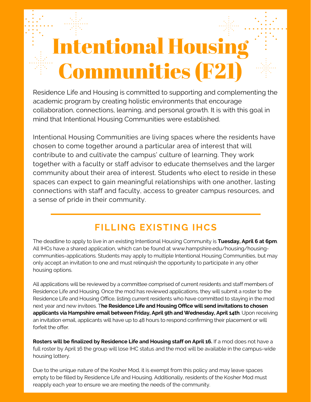# **Intentional Housir** Communities (F21)

Residence Life and Housing is committed to supporting and complementing the academic program by creating holistic environments that encourage collaboration, connections, learning, and personal growth. It is with this goal in mind that Intentional Housing Communities were established.

Intentional Housing Communities are living spaces where the residents have chosen to come together around a particular area of interest that will contribute to and cultivate the campus' culture of learning. They work together with a faculty or staff advisor to educate themselves and the larger community about their area of interest. Students who elect to reside in these spaces can expect to gain meaningful relationships with one another, lasting connections with staff and faculty, access to greater campus resources, and a sense of pride in their community.

# **FILLING EXISTING IHCS**

The deadline to apply to live in an existing Intentional Housing Community is **Tuesday, April 6 at 6pm**. All IHCs have a shared application, which can be found at www.hampshire.edu/housing/housingcommunities-applications. Students may apply to multiple Intentional Housing Communities, but may only accept an invitation to one and must relinquish the opportunity to participate in any other housing options.

All applications will be reviewed by a committee comprised of current residents and staff members of Residence Life and Housing. Once the mod has reviewed applications, they will submit a roster to the Residence Life and Housing Office, listing current residents who have committed to staying in the mod next year and new invitees. T**he Residence Life and Housing Office will send invitations to chosen applicants via Hampshire email between Friday, April 9th and Wednesday, April 14th**. Upon receiving an invitation email, applicants will have up to 48 hours to respond confirming their placement or will forfeit the offer.

**Rosters will be finalized by Residence Life and Housing staff on April 16.** If a mod does not have a full roster by April 16 the group will lose IHC status and the mod will be available in the campus-wide housing lottery.

Due to the unique nature of the Kosher Mod, it is exempt from this policy and may leave spaces empty to be filled by Residence Life and Housing. Additionally, residents of the Kosher Mod must reapply each year to ensure we are meeting the needs of the community.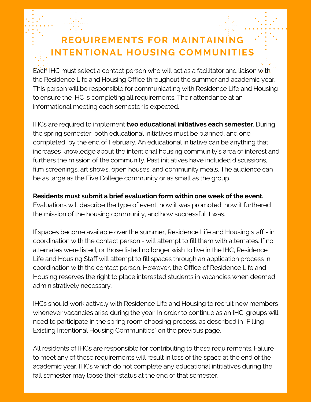# **REQUIREMENTS FOR MAINTAINING INTENTIONAL HOUSING COMMUNITIES**

Each IHC must select a contact person who will act as a facilitator and liaison with. the Residence Life and Housing Office throughout the summer and academic year. This person will be responsible for communicating with Residence Life and Housing to ensure the IHC is completing all requirements. Their attendance at an informational meeting each semester is expected.

IHCs are required to implement **two educational initiatives each semester**. During the spring semester, both educational initiatives must be planned, and one completed, by the end of February. An educational initiative can be anything that increases knowledge about the intentional housing community's area of interest and furthers the mission of the community. Past initiatives have included discussions, film screenings, art shows, open houses, and community meals. The audience can be as large as the Five College community or as small as the group.

### **Residents must submit a brief evaluation form within one week of the event.**

Evaluations will describe the type of event, how it was promoted, how it furthered the mission of the housing community, and how successful it was.

If spaces become available over the summer, Residence Life and Housing staff - in coordination with the contact person - will attempt to fill them with alternates. If no alternates were listed, or those listed no longer wish to live in the IHC, Residence Life and Housing Staff will attempt to fill spaces through an application process in coordination with the contact person. However, the Office of Residence Life and Housing reserves the right to place interested students in vacancies when deemed administratively necessary.

IHCs should work actively with Residence Life and Housing to recruit new members whenever vacancies arise during the year. In order to continue as an IHC, groups will need to participate in the spring room choosing process, as described in "Filling Existing Intentional Housing Communities" on the previous page.

All residents of IHCs are responsible for contributing to these requirements. Failure to meet any of these requirements will result in loss of the space at the end of the academic year. IHCs which do not complete any educational intitiatives during the fall semester may loose their status at the end of that semester.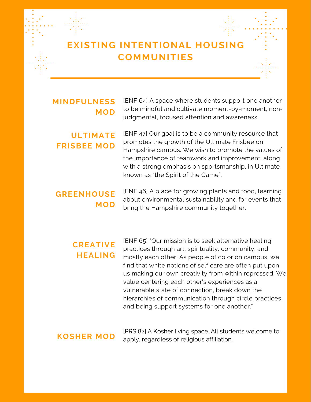# **EXISTING INTENTIONAL HOUSING COMMUNITIES**

### **MINDFULNESS MOD**

[ENF 64] A space where students support one another to be mindful and cultivate moment-by-moment, nonjudgmental, focused attention and awareness.

### **ULTIMATE FRISBEE MOD**

[ENF 47] Our goal is to be a community resource that promotes the growth of the Ultimate Frisbee on Hampshire campus. We wish to promote the values of the importance of teamwork and improvement, along with a strong emphasis on sportsmanship, in Ultimate known as "the Spirit of the Game".

### **GREENHOUSE MOD**

[ENF 46] A place for growing plants and food, learning about environmental sustainability and for events that bring the Hampshire community together.

### **CREATIVE HEALING**

[ENF 65] "Our mission is to seek alternative healing practices through art, spirituality, community, and mostly each other. As people of color on campus, we find that white notions of self care are often put upon us making our own creativity from within repressed. We value centering each other's experiences as a vulnerable state of connection, break down the hierarchies of communication through circle practices, and being support systems for one another."

### **KOSHER MOD**

[PRS 82] A Kosher living space. All students welcome to apply, regardless of religious affiliation.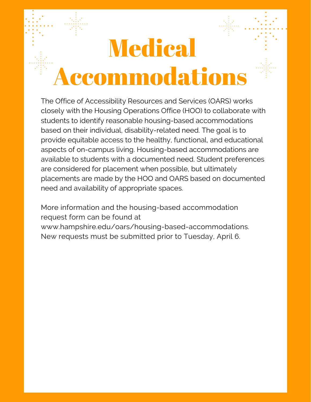# **Medical** Accommodations

The Office of Accessibility Resources and Services (OARS) works closely with the Housing Operations Office (HOO) to collaborate with students to identify reasonable housing-based accommodations based on their individual, disability-related need. The goal is to provide equitable access to the healthy, functional, and educational aspects of on-campus living. Housing-based accommodations are available to students with a documented need. Student preferences are considered for placement when possible, but ultimately placements are made by the HOO and OARS based on documented need and availability of appropriate spaces.

More information and the housing-based accommodation request form can be found at www.hampshire.edu/oars/housing-based-accommodations. New requests must be submitted prior to Tuesday, April 6.